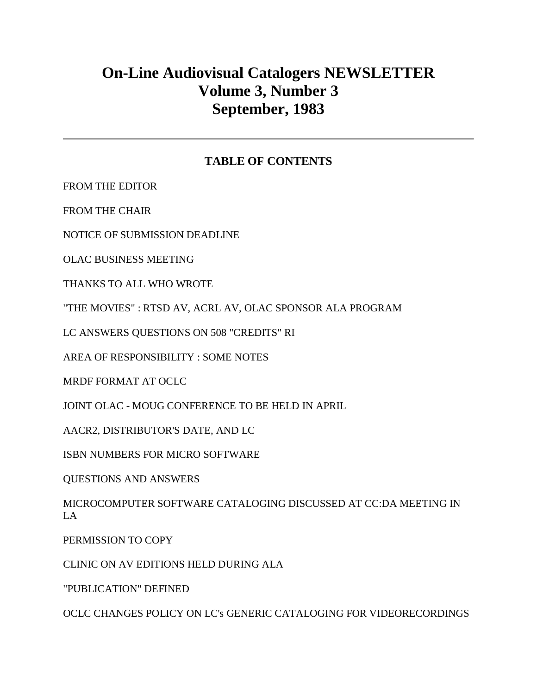# **On-Line Audiovisual Catalogers NEWSLETTER Volume 3, Number 3 September, 1983**

# **TABLE OF CONTENTS**

[FROM THE EDITOR](http://ublib.buffalo.edu/libraries/units/cts/olac/newsletters/sept83.html#editor)

[FROM THE CHAIR](http://ublib.buffalo.edu/libraries/units/cts/olac/newsletters/sept83.html#chair)

[NOTICE OF SUBMISSION DEADLINE](http://ublib.buffalo.edu/libraries/units/cts/olac/newsletters/sept83.html#notice)

[OLAC BUSINESS MEETING](http://ublib.buffalo.edu/libraries/units/cts/olac/newsletters/sept83.html#business)

[THANKS TO ALL WHO WROTE](http://ublib.buffalo.edu/libraries/units/cts/olac/newsletters/sept83.html#thanks)

["THE MOVIES" : RTSD AV, ACRL AV, OLAC SPONSOR ALA PROGRAM](http://ublib.buffalo.edu/libraries/units/cts/olac/newsletters/sept83.html#movies)

[LC ANSWERS QUESTIONS ON 508 "CREDITS" RI](http://ublib.buffalo.edu/libraries/units/cts/olac/newsletters/sept83.html#questions)

[AREA OF RESPONSIBILITY : SOME NOTES](http://ublib.buffalo.edu/libraries/units/cts/olac/newsletters/sept83.html#responsibility)

[MRDF FORMAT AT OCLC](http://ublib.buffalo.edu/libraries/units/cts/olac/newsletters/sept83.html#mrdf)

JOINT OLAC - [MOUG CONFERENCE TO BE HELD IN APRIL](http://ublib.buffalo.edu/libraries/units/cts/olac/newsletters/sept83.html#joint)

[AACR2, DISTRIBUTOR'S DATE, AND LC](http://ublib.buffalo.edu/libraries/units/cts/olac/newsletters/sept83.html#aacr2)

[ISBN NUMBERS FOR MICRO SOFTWARE](http://ublib.buffalo.edu/libraries/units/cts/olac/newsletters/sept83.html#isbn)

[QUESTIONS AND ANSWERS](http://ublib.buffalo.edu/libraries/units/cts/olac/newsletters/sept83.html#q&a)

[MICROCOMPUTER SOFTWARE CATALOGING DISCUSSED AT CC:DA MEETING IN](http://ublib.buffalo.edu/libraries/units/cts/olac/newsletters/sept83.html#microcomputer)  [LA](http://ublib.buffalo.edu/libraries/units/cts/olac/newsletters/sept83.html#microcomputer)

[PERMISSION TO COPY](http://ublib.buffalo.edu/libraries/units/cts/olac/newsletters/sept83.html#copy)

[CLINIC ON AV EDITIONS HELD DURING ALA](http://ublib.buffalo.edu/libraries/units/cts/olac/newsletters/sept83.html#clinic)

["PUBLICATION" DEFINED](http://ublib.buffalo.edu/libraries/units/cts/olac/newsletters/sept83.html#publication)

[OCLC CHANGES POLICY ON LC's GENERIC CATALOGING FOR VIDEORECORDINGS](http://ublib.buffalo.edu/libraries/units/cts/olac/newsletters/sept83.html#oclc)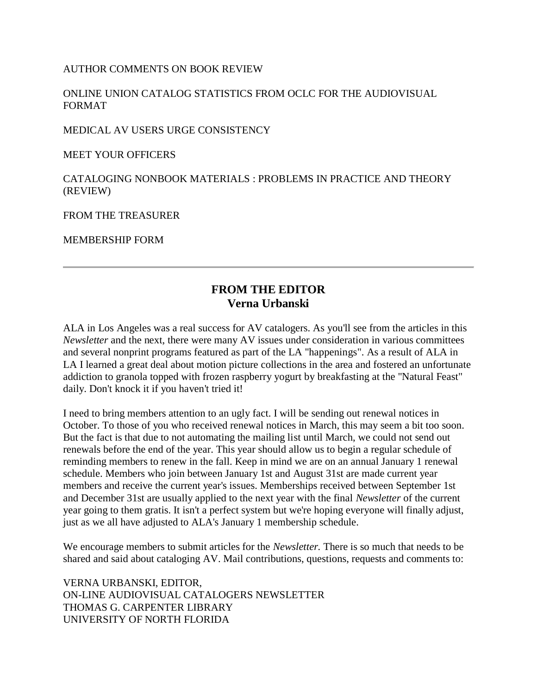[AUTHOR COMMENTS ON BOOK REVIEW](http://ublib.buffalo.edu/libraries/units/cts/olac/newsletters/sept83.html#author)

[ONLINE UNION CATALOG STATISTICS FROM OCLC FOR THE AUDIOVISUAL](http://ublib.buffalo.edu/libraries/units/cts/olac/newsletters/sept83.html#online)  [FORMAT](http://ublib.buffalo.edu/libraries/units/cts/olac/newsletters/sept83.html#online)

[MEDICAL AV USERS URGE CONSISTENCY](http://ublib.buffalo.edu/libraries/units/cts/olac/newsletters/sept83.html#medical)

[MEET YOUR OFFICERS](http://ublib.buffalo.edu/libraries/units/cts/olac/newsletters/sept83.html#officers)

[CATALOGING NONBOOK MATERIALS : PROBLEMS IN PRACTICE AND THEORY](http://ublib.buffalo.edu/libraries/units/cts/olac/newsletters/sept83.html#nonbook)  [\(REVIEW\)](http://ublib.buffalo.edu/libraries/units/cts/olac/newsletters/sept83.html#nonbook)

[FROM THE TREASURER](http://ublib.buffalo.edu/libraries/units/cts/olac/newsletters/sept83.html#treasurer)

[MEMBERSHIP FORM](http://ublib.buffalo.edu/libraries/units/cts/olac/newsletters/sept83.html#form)

# **FROM THE EDITOR Verna Urbanski**

ALA in Los Angeles was a real success for AV catalogers. As you'll see from the articles in this *Newsletter* and the next, there were many AV issues under consideration in various committees and several nonprint programs featured as part of the LA "happenings". As a result of ALA in LA I learned a great deal about motion picture collections in the area and fostered an unfortunate addiction to granola topped with frozen raspberry yogurt by breakfasting at the "Natural Feast" daily. Don't knock it if you haven't tried it!

I need to bring members attention to an ugly fact. I will be sending out renewal notices in October. To those of you who received renewal notices in March, this may seem a bit too soon. But the fact is that due to not automating the mailing list until March, we could not send out renewals before the end of the year. This year should allow us to begin a regular schedule of reminding members to renew in the fall. Keep in mind we are on an annual January 1 renewal schedule. Members who join between January 1st and August 31st are made current year members and receive the current year's issues. Memberships received between September 1st and December 31st are usually applied to the next year with the final *Newsletter* of the current year going to them gratis. It isn't a perfect system but we're hoping everyone will finally adjust, just as we all have adjusted to ALA's January 1 membership schedule.

We encourage members to submit articles for the *Newsletter.* There is so much that needs to be shared and said about cataloging AV. Mail contributions, questions, requests and comments to:

VERNA URBANSKI, EDITOR, ON-LINE AUDIOVISUAL CATALOGERS NEWSLETTER THOMAS G. CARPENTER LIBRARY UNIVERSITY OF NORTH FLORIDA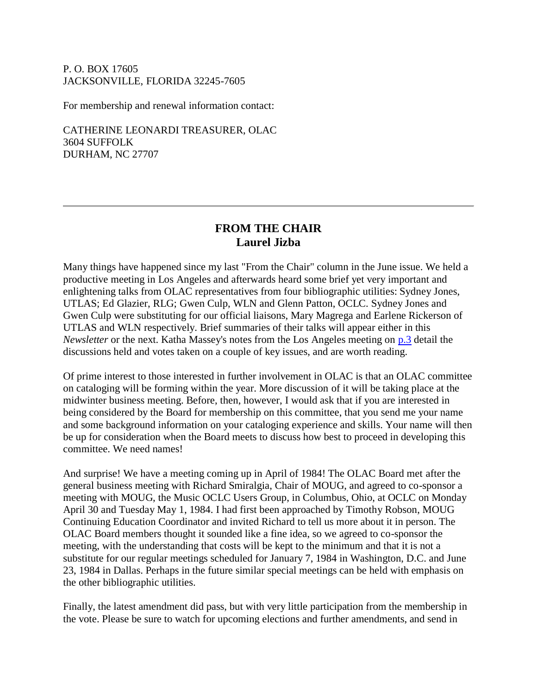#### P. O. BOX 17605 JACKSONVILLE, FLORIDA 32245-7605

For membership and renewal information contact:

CATHERINE LEONARDI TREASURER, OLAC 3604 SUFFOLK DURHAM, NC 27707

# **FROM THE CHAIR Laurel Jizba**

Many things have happened since my last "From the Chair" column in the June issue. We held a productive meeting in Los Angeles and afterwards heard some brief yet very important and enlightening talks from OLAC representatives from four bibliographic utilities: Sydney Jones, UTLAS; Ed Glazier, RLG; Gwen Culp, WLN and Glenn Patton, OCLC. Sydney Jones and Gwen Culp were substituting for our official liaisons, Mary Magrega and Earlene Rickerson of UTLAS and WLN respectively. Brief summaries of their talks will appear either in this *Newsletter* or the next. Katha Massey's notes from the Los Angeles meeting on [p.3](http://ublib.buffalo.edu/libraries/units/cts/olac/newsletters/sept83.html#business) detail the discussions held and votes taken on a couple of key issues, and are worth reading.

Of prime interest to those interested in further involvement in OLAC is that an OLAC committee on cataloging will be forming within the year. More discussion of it will be taking place at the midwinter business meeting. Before, then, however, I would ask that if you are interested in being considered by the Board for membership on this committee, that you send me your name and some background information on your cataloging experience and skills. Your name will then be up for consideration when the Board meets to discuss how best to proceed in developing this committee. We need names!

And surprise! We have a meeting coming up in April of 1984! The OLAC Board met after the general business meeting with Richard Smiralgia, Chair of MOUG, and agreed to co-sponsor a meeting with MOUG, the Music OCLC Users Group, in Columbus, Ohio, at OCLC on Monday April 30 and Tuesday May 1, 1984. I had first been approached by Timothy Robson, MOUG Continuing Education Coordinator and invited Richard to tell us more about it in person. The OLAC Board members thought it sounded like a fine idea, so we agreed to co-sponsor the meeting, with the understanding that costs will be kept to the minimum and that it is not a substitute for our regular meetings scheduled for January 7, 1984 in Washington, D.C. and June 23, 1984 in Dallas. Perhaps in the future similar special meetings can be held with emphasis on the other bibliographic utilities.

Finally, the latest amendment did pass, but with very little participation from the membership in the vote. Please be sure to watch for upcoming elections and further amendments, and send in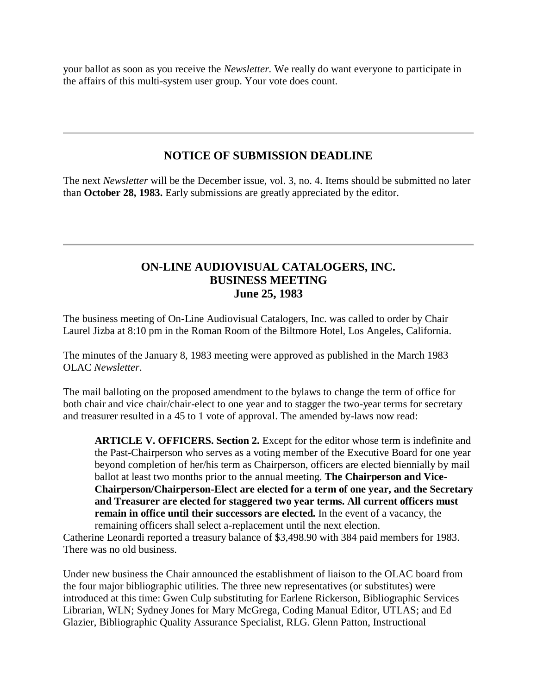your ballot as soon as you receive the *Newsletter.* We really do want everyone to participate in the affairs of this multi-system user group. Your vote does count.

# **NOTICE OF SUBMISSION DEADLINE**

The next *Newsletter* will be the December issue, vol. 3, no. 4. Items should be submitted no later than **October 28, 1983.** Early submissions are greatly appreciated by the editor.

# **ON-LINE AUDIOVISUAL CATALOGERS, INC. BUSINESS MEETING June 25, 1983**

The business meeting of On-Line Audiovisual Catalogers, Inc. was called to order by Chair Laurel Jizba at 8:10 pm in the Roman Room of the Biltmore Hotel, Los Angeles, California.

The minutes of the January 8, 1983 meeting were approved as published in the March 1983 OLAC *Newsletter*.

The mail balloting on the proposed amendment to the bylaws to change the term of office for both chair and vice chair/chair-elect to one year and to stagger the two-year terms for secretary and treasurer resulted in a 45 to 1 vote of approval. The amended by-laws now read:

**ARTICLE V. OFFICERS. Section 2.** Except for the editor whose term is indefinite and the Past-Chairperson who serves as a voting member of the Executive Board for one year beyond completion of her/his term as Chairperson, officers are elected biennially by mail ballot at least two months prior to the annual meeting. **The Chairperson and Vice-Chairperson/Chairperson-Elect are elected for a term of one year, and the Secretary and Treasurer are elected for staggered two year terms. All current officers must remain in office until their successors are elected.** In the event of a vacancy, the remaining officers shall select a-replacement until the next election.

Catherine Leonardi reported a treasury balance of \$3,498.90 with 384 paid members for 1983. There was no old business.

Under new business the Chair announced the establishment of liaison to the OLAC board from the four major bibliographic utilities. The three new representatives (or substitutes) were introduced at this time: Gwen Culp substituting for Earlene Rickerson, Bibliographic Services Librarian, WLN; Sydney Jones for Mary McGrega, Coding Manual Editor, UTLAS; and Ed Glazier, Bibliographic Quality Assurance Specialist, RLG. Glenn Patton, Instructional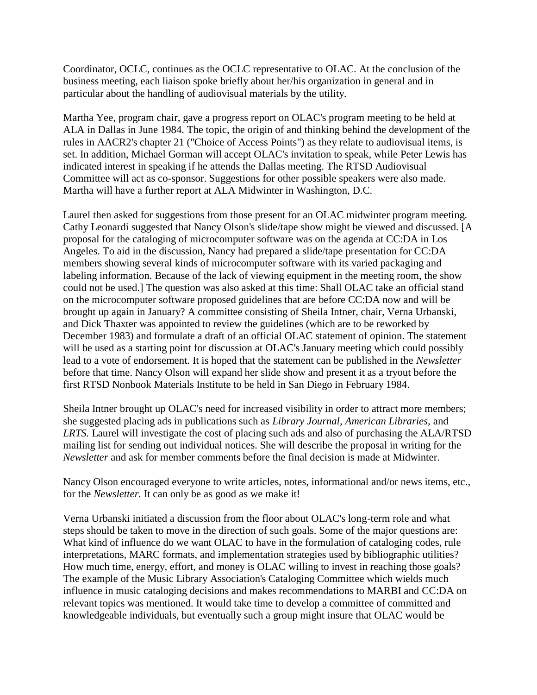Coordinator, OCLC, continues as the OCLC representative to OLAC. At the conclusion of the business meeting, each liaison spoke briefly about her/his organization in general and in particular about the handling of audiovisual materials by the utility.

Martha Yee, program chair, gave a progress report on OLAC's program meeting to be held at ALA in Dallas in June 1984. The topic, the origin of and thinking behind the development of the rules in AACR2's chapter 21 ("Choice of Access Points") as they relate to audiovisual items, is set. In addition, Michael Gorman will accept OLAC's invitation to speak, while Peter Lewis has indicated interest in speaking if he attends the Dallas meeting. The RTSD Audiovisual Committee will act as co-sponsor. Suggestions for other possible speakers were also made. Martha will have a further report at ALA Midwinter in Washington, D.C.

Laurel then asked for suggestions from those present for an OLAC midwinter program meeting. Cathy Leonardi suggested that Nancy Olson's slide/tape show might be viewed and discussed. [A proposal for the cataloging of microcomputer software was on the agenda at CC:DA in Los Angeles. To aid in the discussion, Nancy had prepared a slide/tape presentation for CC:DA members showing several kinds of microcomputer software with its varied packaging and labeling information. Because of the lack of viewing equipment in the meeting room, the show could not be used.] The question was also asked at this time: Shall OLAC take an official stand on the microcomputer software proposed guidelines that are before CC:DA now and will be brought up again in January? A committee consisting of Sheila Intner, chair, Verna Urbanski, and Dick Thaxter was appointed to review the guidelines (which are to be reworked by December 1983) and formulate a draft of an official OLAC statement of opinion. The statement will be used as a starting point for discussion at OLAC's January meeting which could possibly lead to a vote of endorsement. It is hoped that the statement can be published in the *Newsletter* before that time. Nancy Olson will expand her slide show and present it as a tryout before the first RTSD Nonbook Materials Institute to be held in San Diego in February 1984.

Sheila Intner brought up OLAC's need for increased visibility in order to attract more members; she suggested placing ads in publications such as *Library Journal, American Libraries,* and *LRTS.* Laurel will investigate the cost of placing such ads and also of purchasing the ALA/RTSD mailing list for sending out individual notices. She will describe the proposal in writing for the *Newsletter* and ask for member comments before the final decision is made at Midwinter.

Nancy Olson encouraged everyone to write articles, notes, informational and/or news items, etc., for the *Newsletter.* It can only be as good as we make it!

Verna Urbanski initiated a discussion from the floor about OLAC's long-term role and what steps should be taken to move in the direction of such goals. Some of the major questions are: What kind of influence do we want OLAC to have in the formulation of cataloging codes, rule interpretations, MARC formats, and implementation strategies used by bibliographic utilities? How much time, energy, effort, and money is OLAC willing to invest in reaching those goals? The example of the Music Library Association's Cataloging Committee which wields much influence in music cataloging decisions and makes recommendations to MARBI and CC:DA on relevant topics was mentioned. It would take time to develop a committee of committed and knowledgeable individuals, but eventually such a group might insure that OLAC would be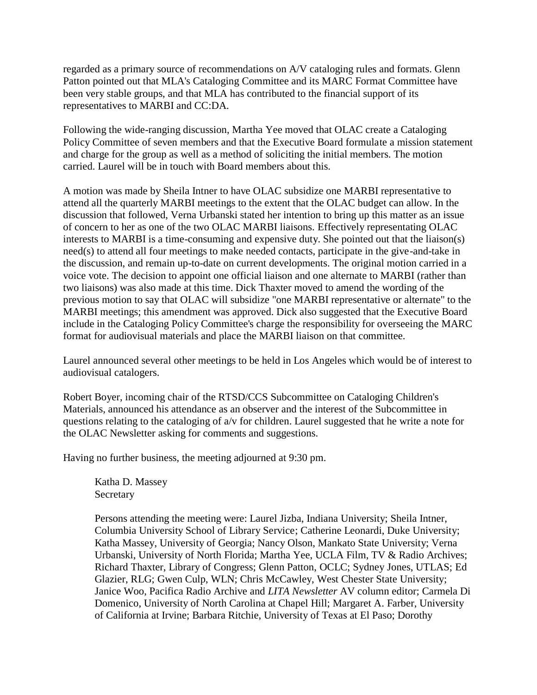regarded as a primary source of recommendations on A/V cataloging rules and formats. Glenn Patton pointed out that MLA's Cataloging Committee and its MARC Format Committee have been very stable groups, and that MLA has contributed to the financial support of its representatives to MARBI and CC:DA.

Following the wide-ranging discussion, Martha Yee moved that OLAC create a Cataloging Policy Committee of seven members and that the Executive Board formulate a mission statement and charge for the group as well as a method of soliciting the initial members. The motion carried. Laurel will be in touch with Board members about this.

A motion was made by Sheila Intner to have OLAC subsidize one MARBI representative to attend all the quarterly MARBI meetings to the extent that the OLAC budget can allow. In the discussion that followed, Verna Urbanski stated her intention to bring up this matter as an issue of concern to her as one of the two OLAC MARBI liaisons. Effectively representating OLAC interests to MARBI is a time-consuming and expensive duty. She pointed out that the liaison(s) need(s) to attend all four meetings to make needed contacts, participate in the give-and-take in the discussion, and remain up-to-date on current developments. The original motion carried in a voice vote. The decision to appoint one official liaison and one alternate to MARBI (rather than two liaisons) was also made at this time. Dick Thaxter moved to amend the wording of the previous motion to say that OLAC will subsidize "one MARBI representative or alternate" to the MARBI meetings; this amendment was approved. Dick also suggested that the Executive Board include in the Cataloging Policy Committee's charge the responsibility for overseeing the MARC format for audiovisual materials and place the MARBI liaison on that committee.

Laurel announced several other meetings to be held in Los Angeles which would be of interest to audiovisual catalogers.

Robert Boyer, incoming chair of the RTSD/CCS Subcommittee on Cataloging Children's Materials, announced his attendance as an observer and the interest of the Subcommittee in questions relating to the cataloging of a/v for children. Laurel suggested that he write a note for the OLAC Newsletter asking for comments and suggestions.

Having no further business, the meeting adjourned at 9:30 pm.

Katha D. Massey Secretary

Persons attending the meeting were: Laurel Jizba, Indiana University; Sheila Intner, Columbia University School of Library Service; Catherine Leonardi, Duke University; Katha Massey, University of Georgia; Nancy Olson, Mankato State University; Verna Urbanski, University of North Florida; Martha Yee, UCLA Film, TV & Radio Archives; Richard Thaxter, Library of Congress; Glenn Patton, OCLC; Sydney Jones, UTLAS; Ed Glazier, RLG; Gwen Culp, WLN; Chris McCawley, West Chester State University; Janice Woo, Pacifica Radio Archive and *LITA Newsletter* AV column editor; Carmela Di Domenico, University of North Carolina at Chapel Hill; Margaret A. Farber, University of California at Irvine; Barbara Ritchie, University of Texas at El Paso; Dorothy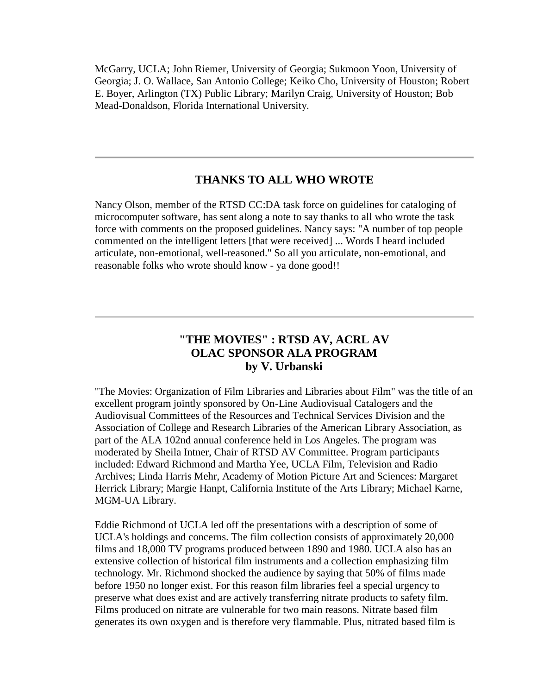McGarry, UCLA; John Riemer, University of Georgia; Sukmoon Yoon, University of Georgia; J. O. Wallace, San Antonio College; Keiko Cho, University of Houston; Robert E. Boyer, Arlington (TX) Public Library; Marilyn Craig, University of Houston; Bob Mead-Donaldson, Florida International University.

### **THANKS TO ALL WHO WROTE**

Nancy Olson, member of the RTSD CC:DA task force on guidelines for cataloging of microcomputer software, has sent along a note to say thanks to all who wrote the task force with comments on the proposed guidelines. Nancy says: "A number of top people commented on the intelligent letters [that were received] ... Words I heard included articulate, non-emotional, well-reasoned." So all you articulate, non-emotional, and reasonable folks who wrote should know - ya done good!!

# **"THE MOVIES" : RTSD AV, ACRL AV OLAC SPONSOR ALA PROGRAM by V. Urbanski**

"The Movies: Organization of Film Libraries and Libraries about Film" was the title of an excellent program jointly sponsored by On-Line Audiovisual Catalogers and the Audiovisual Committees of the Resources and Technical Services Division and the Association of College and Research Libraries of the American Library Association, as part of the ALA 102nd annual conference held in Los Angeles. The program was moderated by Sheila Intner, Chair of RTSD AV Committee. Program participants included: Edward Richmond and Martha Yee, UCLA Film, Television and Radio Archives; Linda Harris Mehr, Academy of Motion Picture Art and Sciences: Margaret Herrick Library; Margie Hanpt, California Institute of the Arts Library; Michael Karne, MGM-UA Library.

Eddie Richmond of UCLA led off the presentations with a description of some of UCLA's holdings and concerns. The film collection consists of approximately 20,000 films and 18,000 TV programs produced between 1890 and 1980. UCLA also has an extensive collection of historical film instruments and a collection emphasizing film technology. Mr. Richmond shocked the audience by saying that 50% of films made before 1950 no longer exist. For this reason film libraries feel a special urgency to preserve what does exist and are actively transferring nitrate products to safety film. Films produced on nitrate are vulnerable for two main reasons. Nitrate based film generates its own oxygen and is therefore very flammable. Plus, nitrated based film is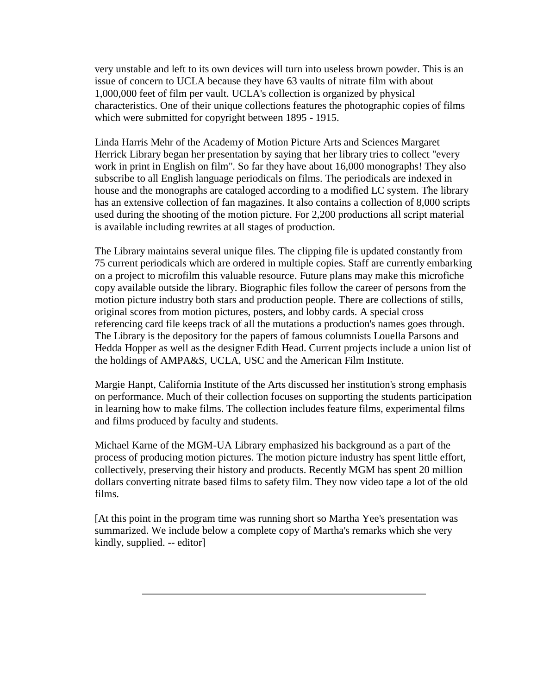very unstable and left to its own devices will turn into useless brown powder. This is an issue of concern to UCLA because they have 63 vaults of nitrate film with about 1,000,000 feet of film per vault. UCLA's collection is organized by physical characteristics. One of their unique collections features the photographic copies of films which were submitted for copyright between 1895 - 1915.

Linda Harris Mehr of the Academy of Motion Picture Arts and Sciences Margaret Herrick Library began her presentation by saying that her library tries to collect "every work in print in English on film". So far they have about 16,000 monographs! They also subscribe to all English language periodicals on films. The periodicals are indexed in house and the monographs are cataloged according to a modified LC system. The library has an extensive collection of fan magazines. It also contains a collection of 8,000 scripts used during the shooting of the motion picture. For 2,200 productions all script material is available including rewrites at all stages of production.

The Library maintains several unique files. The clipping file is updated constantly from 75 current periodicals which are ordered in multiple copies. Staff are currently embarking on a project to microfilm this valuable resource. Future plans may make this microfiche copy available outside the library. Biographic files follow the career of persons from the motion picture industry both stars and production people. There are collections of stills, original scores from motion pictures, posters, and lobby cards. A special cross referencing card file keeps track of all the mutations a production's names goes through. The Library is the depository for the papers of famous columnists Louella Parsons and Hedda Hopper as well as the designer Edith Head. Current projects include a union list of the holdings of AMPA&S, UCLA, USC and the American Film Institute.

Margie Hanpt, California Institute of the Arts discussed her institution's strong emphasis on performance. Much of their collection focuses on supporting the students participation in learning how to make films. The collection includes feature films, experimental films and films produced by faculty and students.

Michael Karne of the MGM-UA Library emphasized his background as a part of the process of producing motion pictures. The motion picture industry has spent little effort, collectively, preserving their history and products. Recently MGM has spent 20 million dollars converting nitrate based films to safety film. They now video tape a lot of the old films.

[At this point in the program time was running short so Martha Yee's presentation was summarized. We include below a complete copy of Martha's remarks which she very kindly, supplied. -- editor]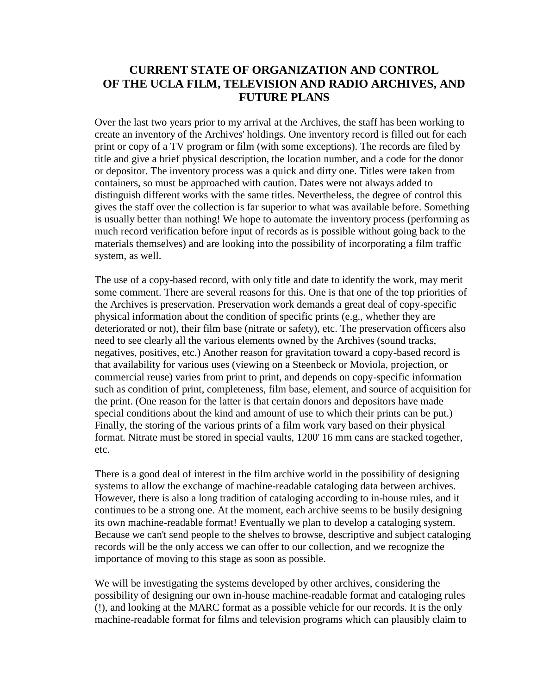### **CURRENT STATE OF ORGANIZATION AND CONTROL OF THE UCLA FILM, TELEVISION AND RADIO ARCHIVES, AND FUTURE PLANS**

Over the last two years prior to my arrival at the Archives, the staff has been working to create an inventory of the Archives' holdings. One inventory record is filled out for each print or copy of a TV program or film (with some exceptions). The records are filed by title and give a brief physical description, the location number, and a code for the donor or depositor. The inventory process was a quick and dirty one. Titles were taken from containers, so must be approached with caution. Dates were not always added to distinguish different works with the same titles. Nevertheless, the degree of control this gives the staff over the collection is far superior to what was available before. Something is usually better than nothing! We hope to automate the inventory process (performing as much record verification before input of records as is possible without going back to the materials themselves) and are looking into the possibility of incorporating a film traffic system, as well.

The use of a copy-based record, with only title and date to identify the work, may merit some comment. There are several reasons for this. One is that one of the top priorities of the Archives is preservation. Preservation work demands a great deal of copy-specific physical information about the condition of specific prints (e.g., whether they are deteriorated or not), their film base (nitrate or safety), etc. The preservation officers also need to see clearly all the various elements owned by the Archives (sound tracks, negatives, positives, etc.) Another reason for gravitation toward a copy-based record is that availability for various uses (viewing on a Steenbeck or Moviola, projection, or commercial reuse) varies from print to print, and depends on copy-specific information such as condition of print, completeness, film base, element, and source of acquisition for the print. (One reason for the latter is that certain donors and depositors have made special conditions about the kind and amount of use to which their prints can be put.) Finally, the storing of the various prints of a film work vary based on their physical format. Nitrate must be stored in special vaults, 1200' 16 mm cans are stacked together, etc.

There is a good deal of interest in the film archive world in the possibility of designing systems to allow the exchange of machine-readable cataloging data between archives. However, there is also a long tradition of cataloging according to in-house rules, and it continues to be a strong one. At the moment, each archive seems to be busily designing its own machine-readable format! Eventually we plan to develop a cataloging system. Because we can't send people to the shelves to browse, descriptive and subject cataloging records will be the only access we can offer to our collection, and we recognize the importance of moving to this stage as soon as possible.

We will be investigating the systems developed by other archives, considering the possibility of designing our own in-house machine-readable format and cataloging rules (!), and looking at the MARC format as a possible vehicle for our records. It is the only machine-readable format for films and television programs which can plausibly claim to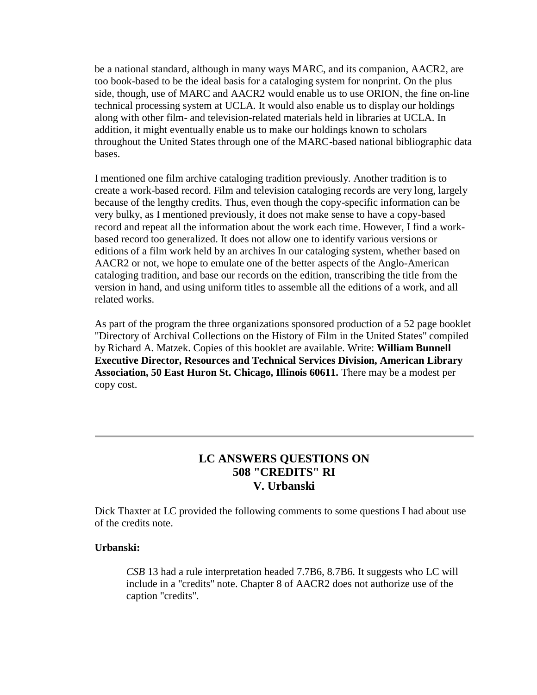be a national standard, although in many ways MARC, and its companion, AACR2, are too book-based to be the ideal basis for a cataloging system for nonprint. On the plus side, though, use of MARC and AACR2 would enable us to use ORION, the fine on-line technical processing system at UCLA. It would also enable us to display our holdings along with other film- and television-related materials held in libraries at UCLA. In addition, it might eventually enable us to make our holdings known to scholars throughout the United States through one of the MARC-based national bibliographic data bases.

I mentioned one film archive cataloging tradition previously. Another tradition is to create a work-based record. Film and television cataloging records are very long, largely because of the lengthy credits. Thus, even though the copy-specific information can be very bulky, as I mentioned previously, it does not make sense to have a copy-based record and repeat all the information about the work each time. However, I find a workbased record too generalized. It does not allow one to identify various versions or editions of a film work held by an archives In our cataloging system, whether based on AACR2 or not, we hope to emulate one of the better aspects of the Anglo-American cataloging tradition, and base our records on the edition, transcribing the title from the version in hand, and using uniform titles to assemble all the editions of a work, and all related works.

As part of the program the three organizations sponsored production of a 52 page booklet "Directory of Archival Collections on the History of Film in the United States" compiled by Richard A. Matzek. Copies of this booklet are available. Write: **William Bunnell Executive Director, Resources and Technical Services Division, American Library Association, 50 East Huron St. Chicago, Illinois 60611.** There may be a modest per copy cost.

# **LC ANSWERS QUESTIONS ON 508 "CREDITS" RI V. Urbanski**

Dick Thaxter at LC provided the following comments to some questions I had about use of the credits note.

### **Urbanski:**

*CSB* 13 had a rule interpretation headed 7.7B6, 8.7B6. It suggests who LC will include in a "credits" note. Chapter 8 of AACR2 does not authorize use of the caption "credits".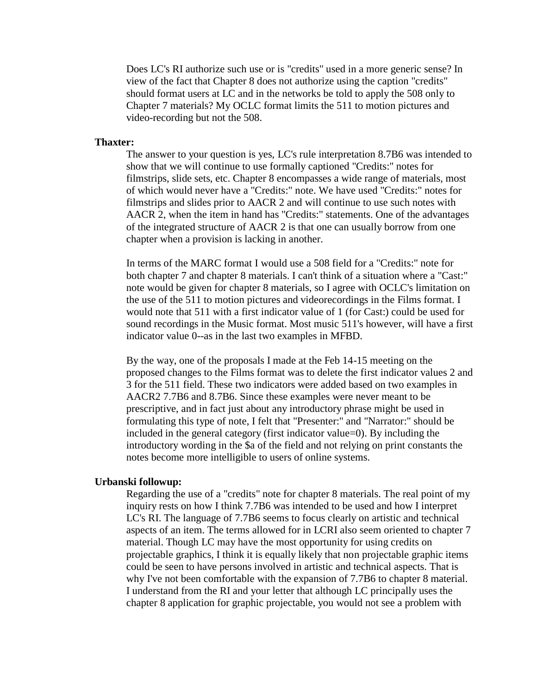Does LC's RI authorize such use or is "credits" used in a more generic sense? In view of the fact that Chapter 8 does not authorize using the caption "credits" should format users at LC and in the networks be told to apply the 508 only to Chapter 7 materials? My OCLC format limits the 511 to motion pictures and video-recording but not the 508.

#### **Thaxter:**

The answer to your question is yes, LC's rule interpretation 8.7B6 was intended to show that we will continue to use formally captioned "Credits:" notes for filmstrips, slide sets, etc. Chapter 8 encompasses a wide range of materials, most of which would never have a "Credits:" note. We have used "Credits:" notes for filmstrips and slides prior to AACR 2 and will continue to use such notes with AACR 2, when the item in hand has "Credits:" statements. One of the advantages of the integrated structure of AACR 2 is that one can usually borrow from one chapter when a provision is lacking in another.

In terms of the MARC format I would use a 508 field for a "Credits:" note for both chapter 7 and chapter 8 materials. I can't think of a situation where a "Cast:" note would be given for chapter 8 materials, so I agree with OCLC's limitation on the use of the 511 to motion pictures and videorecordings in the Films format. I would note that 511 with a first indicator value of 1 (for Cast:) could be used for sound recordings in the Music format. Most music 511's however, will have a first indicator value 0--as in the last two examples in MFBD.

By the way, one of the proposals I made at the Feb 14-15 meeting on the proposed changes to the Films format was to delete the first indicator values 2 and 3 for the 511 field. These two indicators were added based on two examples in AACR2 7.7B6 and 8.7B6. Since these examples were never meant to be prescriptive, and in fact just about any introductory phrase might be used in formulating this type of note, I felt that "Presenter:" and "Narrator:" should be included in the general category (first indicator value=0). By including the introductory wording in the \$a of the field and not relying on print constants the notes become more intelligible to users of online systems.

#### **Urbanski followup:**

Regarding the use of a "credits" note for chapter 8 materials. The real point of my inquiry rests on how I think 7.7B6 was intended to be used and how I interpret LC's RI. The language of 7.7B6 seems to focus clearly on artistic and technical aspects of an item. The terms allowed for in LCRI also seem oriented to chapter 7 material. Though LC may have the most opportunity for using credits on projectable graphics, I think it is equally likely that non projectable graphic items could be seen to have persons involved in artistic and technical aspects. That is why I've not been comfortable with the expansion of 7.7B6 to chapter 8 material. I understand from the RI and your letter that although LC principally uses the chapter 8 application for graphic projectable, you would not see a problem with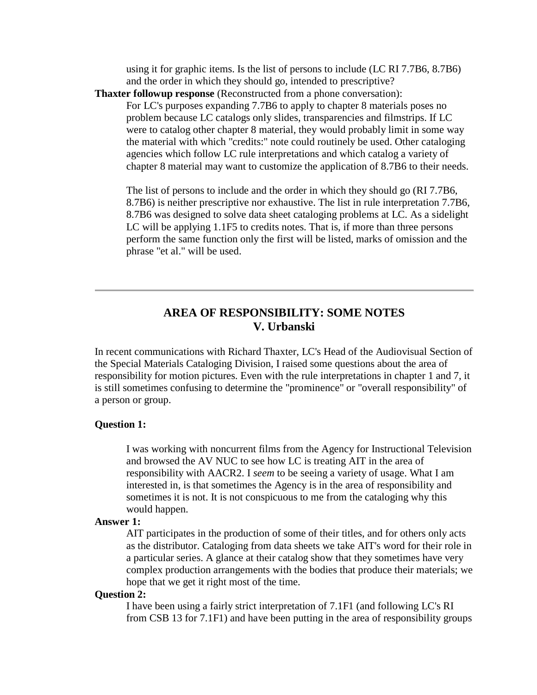using it for graphic items. Is the list of persons to include (LC RI 7.7B6, 8.7B6) and the order in which they should go, intended to prescriptive?

**Thaxter followup response** (Reconstructed from a phone conversation):

For LC's purposes expanding 7.7B6 to apply to chapter 8 materials poses no problem because LC catalogs only slides, transparencies and filmstrips. If LC were to catalog other chapter 8 material, they would probably limit in some way the material with which "credits:" note could routinely be used. Other cataloging agencies which follow LC rule interpretations and which catalog a variety of chapter 8 material may want to customize the application of 8.7B6 to their needs.

The list of persons to include and the order in which they should go (RI 7.7B6, 8.7B6) is neither prescriptive nor exhaustive. The list in rule interpretation 7.7B6, 8.7B6 was designed to solve data sheet cataloging problems at LC. As a sidelight LC will be applying 1.1F5 to credits notes. That is, if more than three persons perform the same function only the first will be listed, marks of omission and the phrase "et al." will be used.

### **AREA OF RESPONSIBILITY: SOME NOTES V. Urbanski**

In recent communications with Richard Thaxter, LC's Head of the Audiovisual Section of the Special Materials Cataloging Division, I raised some questions about the area of responsibility for motion pictures. Even with the rule interpretations in chapter 1 and 7, it is still sometimes confusing to determine the "prominence" or "overall responsibility" of a person or group.

#### **Question 1:**

I was working with noncurrent films from the Agency for Instructional Television and browsed the AV NUC to see how LC is treating AIT in the area of responsibility with AACR2. I *seem* to be seeing a variety of usage. What I am interested in, is that sometimes the Agency is in the area of responsibility and sometimes it is not. It is not conspicuous to me from the cataloging why this would happen.

#### **Answer 1:**

AIT participates in the production of some of their titles, and for others only acts as the distributor. Cataloging from data sheets we take AIT's word for their role in a particular series. A glance at their catalog show that they sometimes have very complex production arrangements with the bodies that produce their materials; we hope that we get it right most of the time.

#### **Question 2:**

I have been using a fairly strict interpretation of 7.1F1 (and following LC's RI from CSB 13 for 7.1F1) and have been putting in the area of responsibility groups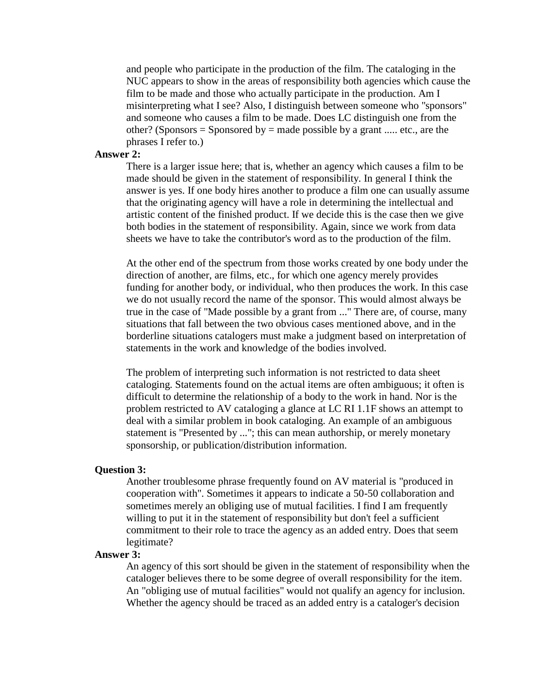and people who participate in the production of the film. The cataloging in the NUC appears to show in the areas of responsibility both agencies which cause the film to be made and those who actually participate in the production. Am I misinterpreting what I see? Also, I distinguish between someone who "sponsors" and someone who causes a film to be made. Does LC distinguish one from the other? (Sponsors = Sponsored by = made possible by a grant ..... etc., are the phrases I refer to.)

#### **Answer 2:**

There is a larger issue here; that is, whether an agency which causes a film to be made should be given in the statement of responsibility. In general I think the answer is yes. If one body hires another to produce a film one can usually assume that the originating agency will have a role in determining the intellectual and artistic content of the finished product. If we decide this is the case then we give both bodies in the statement of responsibility. Again, since we work from data sheets we have to take the contributor's word as to the production of the film.

At the other end of the spectrum from those works created by one body under the direction of another, are films, etc., for which one agency merely provides funding for another body, or individual, who then produces the work. In this case we do not usually record the name of the sponsor. This would almost always be true in the case of "Made possible by a grant from ..." There are, of course, many situations that fall between the two obvious cases mentioned above, and in the borderline situations catalogers must make a judgment based on interpretation of statements in the work and knowledge of the bodies involved.

The problem of interpreting such information is not restricted to data sheet cataloging. Statements found on the actual items are often ambiguous; it often is difficult to determine the relationship of a body to the work in hand. Nor is the problem restricted to AV cataloging a glance at LC RI 1.1F shows an attempt to deal with a similar problem in book cataloging. An example of an ambiguous statement is "Presented by ..."; this can mean authorship, or merely monetary sponsorship, or publication/distribution information.

#### **Question 3:**

Another troublesome phrase frequently found on AV material is "produced in cooperation with". Sometimes it appears to indicate a 50-50 collaboration and sometimes merely an obliging use of mutual facilities. I find I am frequently willing to put it in the statement of responsibility but don't feel a sufficient commitment to their role to trace the agency as an added entry. Does that seem legitimate?

#### **Answer 3:**

An agency of this sort should be given in the statement of responsibility when the cataloger believes there to be some degree of overall responsibility for the item. An "obliging use of mutual facilities" would not qualify an agency for inclusion. Whether the agency should be traced as an added entry is a cataloger's decision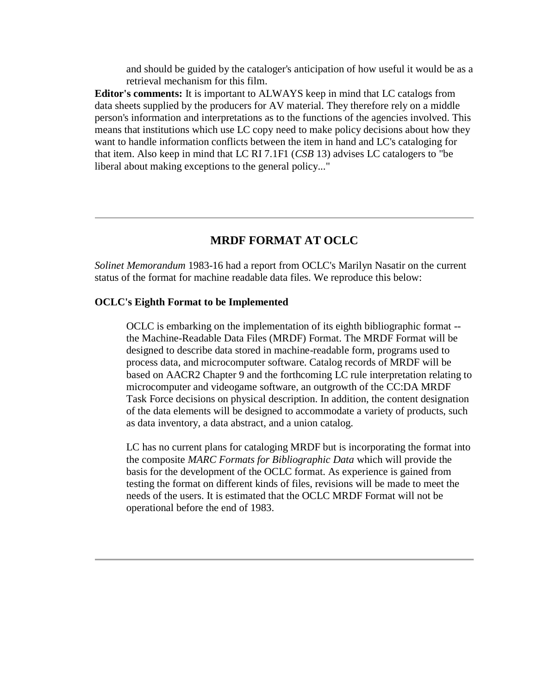and should be guided by the cataloger's anticipation of how useful it would be as a retrieval mechanism for this film.

**Editor's comments:** It is important to ALWAYS keep in mind that LC catalogs from data sheets supplied by the producers for AV material. They therefore rely on a middle person's information and interpretations as to the functions of the agencies involved. This means that institutions which use LC copy need to make policy decisions about how they want to handle information conflicts between the item in hand and LC's cataloging for that item. Also keep in mind that LC RI 7.1F1 (*CSB* 13) advises LC catalogers to "be liberal about making exceptions to the general policy..."

#### **MRDF FORMAT AT OCLC**

*Solinet Memorandum* 1983-16 had a report from OCLC's Marilyn Nasatir on the current status of the format for machine readable data files. We reproduce this below:

#### **OCLC's Eighth Format to be Implemented**

OCLC is embarking on the implementation of its eighth bibliographic format - the Machine-Readable Data Files (MRDF) Format. The MRDF Format will be designed to describe data stored in machine-readable form, programs used to process data, and microcomputer software. Catalog records of MRDF will be based on AACR2 Chapter 9 and the forthcoming LC rule interpretation relating to microcomputer and videogame software, an outgrowth of the CC:DA MRDF Task Force decisions on physical description. In addition, the content designation of the data elements will be designed to accommodate a variety of products, such as data inventory, a data abstract, and a union catalog.

LC has no current plans for cataloging MRDF but is incorporating the format into the composite *MARC Formats for Bibliographic Data* which will provide the basis for the development of the OCLC format. As experience is gained from testing the format on different kinds of files, revisions will be made to meet the needs of the users. It is estimated that the OCLC MRDF Format will not be operational before the end of 1983.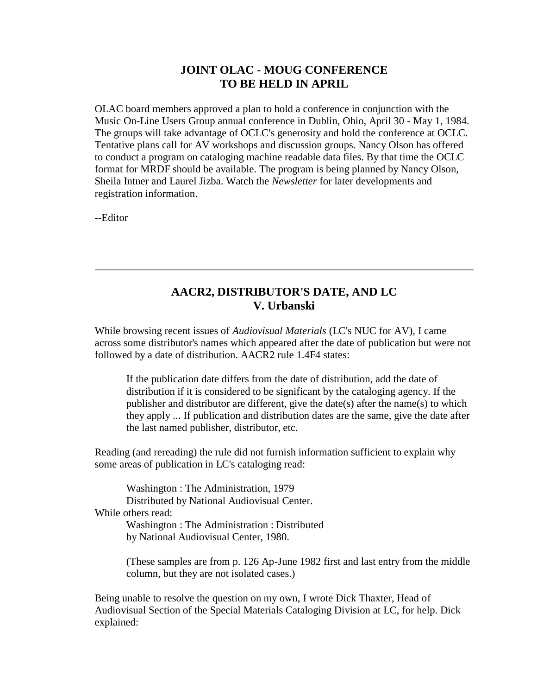### **JOINT OLAC - MOUG CONFERENCE TO BE HELD IN APRIL**

OLAC board members approved a plan to hold a conference in conjunction with the Music On-Line Users Group annual conference in Dublin, Ohio, April 30 - May 1, 1984. The groups will take advantage of OCLC's generosity and hold the conference at OCLC. Tentative plans call for AV workshops and discussion groups. Nancy Olson has offered to conduct a program on cataloging machine readable data files. By that time the OCLC format for MRDF should be available. The program is being planned by Nancy Olson, Sheila Intner and Laurel Jizba. Watch the *Newsletter* for later developments and registration information.

--Editor

### **AACR2, DISTRIBUTOR'S DATE, AND LC V. Urbanski**

While browsing recent issues of *Audiovisual Materials* (LC's NUC for AV), I came across some distributor's names which appeared after the date of publication but were not followed by a date of distribution. AACR2 rule 1.4F4 states:

If the publication date differs from the date of distribution, add the date of distribution if it is considered to be significant by the cataloging agency. If the publisher and distributor are different, give the date(s) after the name(s) to which they apply ... If publication and distribution dates are the same, give the date after the last named publisher, distributor, etc.

Reading (and rereading) the rule did not furnish information sufficient to explain why some areas of publication in LC's cataloging read:

Washington : The Administration, 1979 Distributed by National Audiovisual Center. While others read: Washington : The Administration : Distributed by National Audiovisual Center, 1980.

> (These samples are from p. 126 Ap-June 1982 first and last entry from the middle column, but they are not isolated cases.)

Being unable to resolve the question on my own, I wrote Dick Thaxter, Head of Audiovisual Section of the Special Materials Cataloging Division at LC, for help. Dick explained: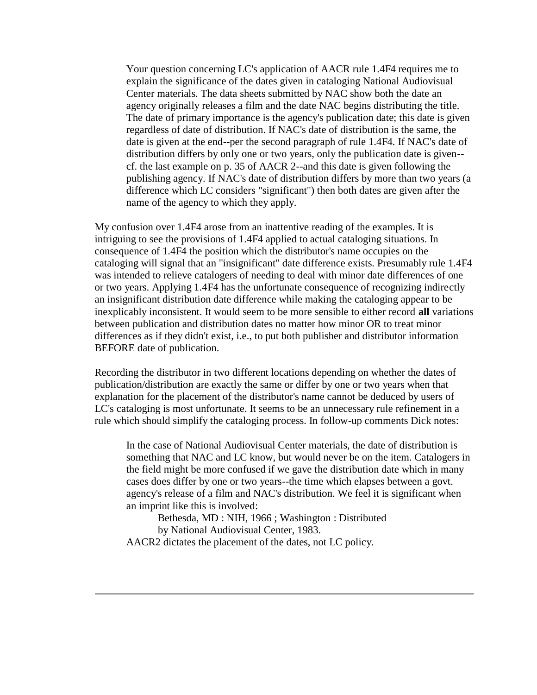Your question concerning LC's application of AACR rule 1.4F4 requires me to explain the significance of the dates given in cataloging National Audiovisual Center materials. The data sheets submitted by NAC show both the date an agency originally releases a film and the date NAC begins distributing the title. The date of primary importance is the agency's publication date; this date is given regardless of date of distribution. If NAC's date of distribution is the same, the date is given at the end--per the second paragraph of rule 1.4F4. If NAC's date of distribution differs by only one or two years, only the publication date is given- cf. the last example on p. 35 of AACR 2--and this date is given following the publishing agency. If NAC's date of distribution differs by more than two years (a difference which LC considers "significant") then both dates are given after the name of the agency to which they apply.

My confusion over 1.4F4 arose from an inattentive reading of the examples. It is intriguing to see the provisions of 1.4F4 applied to actual cataloging situations. In consequence of 1.4F4 the position which the distributor's name occupies on the cataloging will signal that an "insignificant" date difference exists. Presumably rule 1.4F4 was intended to relieve catalogers of needing to deal with minor date differences of one or two years. Applying 1.4F4 has the unfortunate consequence of recognizing indirectly an insignificant distribution date difference while making the cataloging appear to be inexplicably inconsistent. It would seem to be more sensible to either record **all** variations between publication and distribution dates no matter how minor OR to treat minor differences as if they didn't exist, i.e., to put both publisher and distributor information BEFORE date of publication.

Recording the distributor in two different locations depending on whether the dates of publication/distribution are exactly the same or differ by one or two years when that explanation for the placement of the distributor's name cannot be deduced by users of LC's cataloging is most unfortunate. It seems to be an unnecessary rule refinement in a rule which should simplify the cataloging process. In follow-up comments Dick notes:

In the case of National Audiovisual Center materials, the date of distribution is something that NAC and LC know, but would never be on the item. Catalogers in the field might be more confused if we gave the distribution date which in many cases does differ by one or two years--the time which elapses between a govt. agency's release of a film and NAC's distribution. We feel it is significant when an imprint like this is involved:

Bethesda, MD : NIH, 1966 ; Washington : Distributed by National Audiovisual Center, 1983. AACR2 dictates the placement of the dates, not LC policy.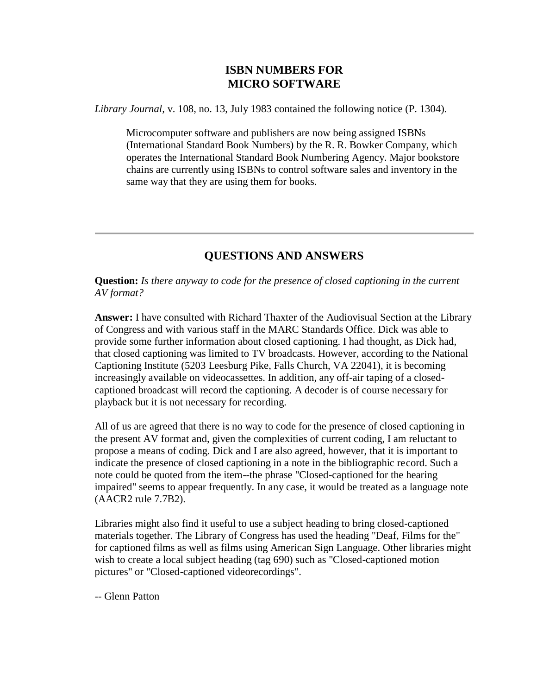# **ISBN NUMBERS FOR MICRO SOFTWARE**

*Library Journal,* v. 108, no. 13, July 1983 contained the following notice (P. 1304).

Microcomputer software and publishers are now being assigned ISBNs (International Standard Book Numbers) by the R. R. Bowker Company, which operates the International Standard Book Numbering Agency. Major bookstore chains are currently using ISBNs to control software sales and inventory in the same way that they are using them for books.

# **QUESTIONS AND ANSWERS**

**Question:** *Is there anyway to code for the presence of closed captioning in the current AV format?*

**Answer:** I have consulted with Richard Thaxter of the Audiovisual Section at the Library of Congress and with various staff in the MARC Standards Office. Dick was able to provide some further information about closed captioning. I had thought, as Dick had, that closed captioning was limited to TV broadcasts. However, according to the National Captioning Institute (5203 Leesburg Pike, Falls Church, VA 22041), it is becoming increasingly available on videocassettes. In addition, any off-air taping of a closedcaptioned broadcast will record the captioning. A decoder is of course necessary for playback but it is not necessary for recording.

All of us are agreed that there is no way to code for the presence of closed captioning in the present AV format and, given the complexities of current coding, I am reluctant to propose a means of coding. Dick and I are also agreed, however, that it is important to indicate the presence of closed captioning in a note in the bibliographic record. Such a note could be quoted from the item--the phrase "Closed-captioned for the hearing impaired" seems to appear frequently. In any case, it would be treated as a language note (AACR2 rule 7.7B2).

Libraries might also find it useful to use a subject heading to bring closed-captioned materials together. The Library of Congress has used the heading "Deaf, Films for the" for captioned films as well as films using American Sign Language. Other libraries might wish to create a local subject heading (tag 690) such as "Closed-captioned motion pictures" or "Closed-captioned videorecordings".

-- Glenn Patton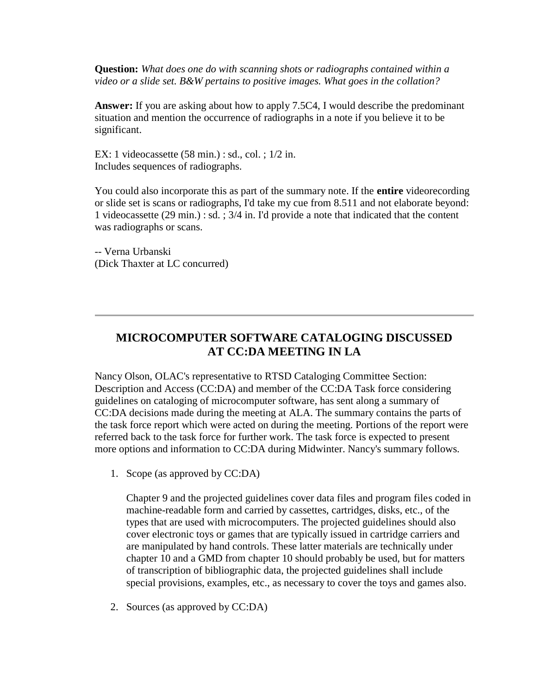**Question:** *What does one do with scanning shots or radiographs contained within a video or a slide set. B&W pertains to positive images. What goes in the collation?*

**Answer:** If you are asking about how to apply 7.5C4, I would describe the predominant situation and mention the occurrence of radiographs in a note if you believe it to be significant.

EX: 1 videocassette (58 min.) : sd., col. ; 1/2 in. Includes sequences of radiographs.

You could also incorporate this as part of the summary note. If the **entire** videorecording or slide set is scans or radiographs, I'd take my cue from 8.511 and not elaborate beyond: 1 videocassette (29 min.) : sd. ; 3/4 in. I'd provide a note that indicated that the content was radiographs or scans.

-- Verna Urbanski (Dick Thaxter at LC concurred)

# **MICROCOMPUTER SOFTWARE CATALOGING DISCUSSED AT CC:DA MEETING IN LA**

Nancy Olson, OLAC's representative to RTSD Cataloging Committee Section: Description and Access (CC:DA) and member of the CC:DA Task force considering guidelines on cataloging of microcomputer software, has sent along a summary of CC:DA decisions made during the meeting at ALA. The summary contains the parts of the task force report which were acted on during the meeting. Portions of the report were referred back to the task force for further work. The task force is expected to present more options and information to CC:DA during Midwinter. Nancy's summary follows.

1. Scope (as approved by CC:DA)

Chapter 9 and the projected guidelines cover data files and program files coded in machine-readable form and carried by cassettes, cartridges, disks, etc., of the types that are used with microcomputers. The projected guidelines should also cover electronic toys or games that are typically issued in cartridge carriers and are manipulated by hand controls. These latter materials are technically under chapter 10 and a GMD from chapter 10 should probably be used, but for matters of transcription of bibliographic data, the projected guidelines shall include special provisions, examples, etc., as necessary to cover the toys and games also.

2. Sources (as approved by CC:DA)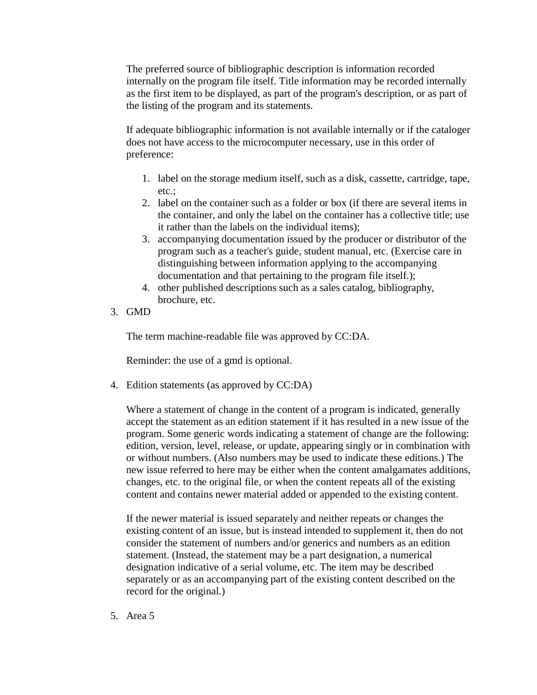The preferred source of bibliographic description is information recorded internally on the program file itself. Title information may be recorded internally as the first item to be displayed, as part of the program's description, or as part of the listing of the program and its statements.

If adequate bibliographic information is not available internally or if the cataloger does not have access to the microcomputer necessary, use in this order of preference:

- 1. label on the storage medium itself, such as a disk, cassette, cartridge, tape, etc.;
- 2. label on the container such as a folder or box (if there are several items in the container, and only the label on the container has a collective title; use it rather than the labels on the individual items);
- 3. accompanying documentation issued by the producer or distributor of the program such as a teacher's guide, student manual, etc. (Exercise care in distinguishing between information applying to the accompanying documentation and that pertaining to the program file itself.);
- 4. other published descriptions such as a sales catalog, bibliography, brochure, etc.
- 3. GMD

The term machine-readable file was approved by CC:DA.

Reminder: the use of a gmd is optional.

4. Edition statements (as approved by CC:DA)

Where a statement of change in the content of a program is indicated, generally accept the statement as an edition statement if it has resulted in a new issue of the program. Some generic words indicating a statement of change are the following: edition, version, level, release, or update, appearing singly or in combination with or without numbers. (Also numbers may be used to indicate these editions.) The new issue referred to here may be either when the content amalgamates additions, changes, etc. to the original file, or when the content repeats all of the existing content and contains newer material added or appended to the existing content.

If the newer material is issued separately and neither repeats or changes the existing content of an issue, but is instead intended to supplement it, then do not consider the statement of numbers and/or generics and numbers as an edition statement. (Instead, the statement may be a part designation, a numerical designation indicative of a serial volume, etc. The item may be described separately or as an accompanying part of the existing content described on the record for the original.)

5. Area 5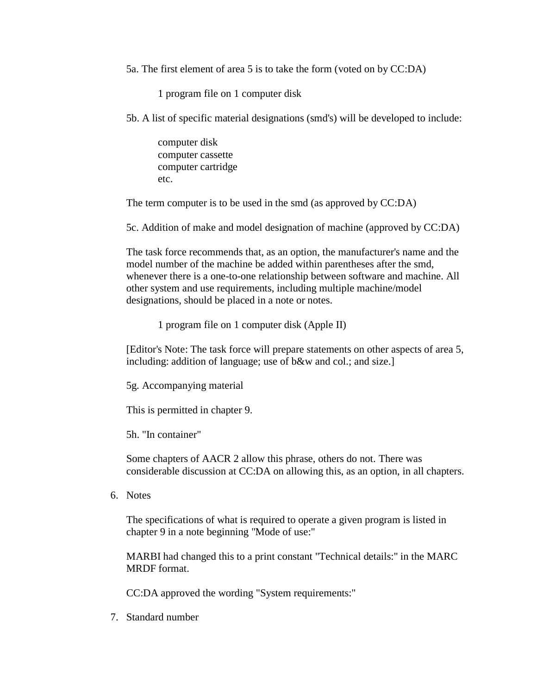5a. The first element of area 5 is to take the form (voted on by CC:DA)

1 program file on 1 computer disk

5b. A list of specific material designations (smd's) will be developed to include:

computer disk computer cassette computer cartridge etc.

The term computer is to be used in the smd (as approved by CC:DA)

5c. Addition of make and model designation of machine (approved by CC:DA)

The task force recommends that, as an option, the manufacturer's name and the model number of the machine be added within parentheses after the smd, whenever there is a one-to-one relationship between software and machine. All other system and use requirements, including multiple machine/model designations, should be placed in a note or notes.

1 program file on 1 computer disk (Apple II)

[Editor's Note: The task force will prepare statements on other aspects of area 5, including: addition of language; use of b&w and col.; and size.]

5g. Accompanying material

This is permitted in chapter 9.

5h. "In container"

Some chapters of AACR 2 allow this phrase, others do not. There was considerable discussion at CC:DA on allowing this, as an option, in all chapters.

6. Notes

The specifications of what is required to operate a given program is listed in chapter 9 in a note beginning "Mode of use:"

MARBI had changed this to a print constant "Technical details:" in the MARC MRDF format.

CC:DA approved the wording "System requirements:"

7. Standard number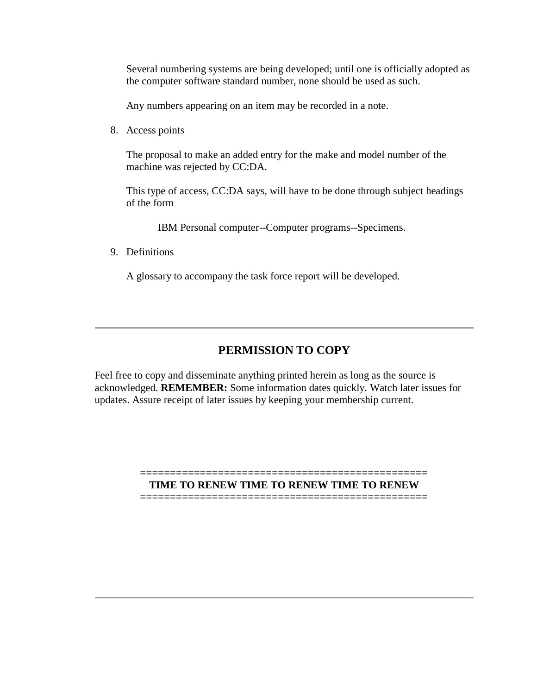Several numbering systems are being developed; until one is officially adopted as the computer software standard number, none should be used as such.

Any numbers appearing on an item may be recorded in a note.

8. Access points

The proposal to make an added entry for the make and model number of the machine was rejected by CC:DA.

This type of access, CC:DA says, will have to be done through subject headings of the form

IBM Personal computer--Computer programs--Specimens.

9. Definitions

A glossary to accompany the task force report will be developed.

# **PERMISSION TO COPY**

Feel free to copy and disseminate anything printed herein as long as the source is acknowledged. **REMEMBER:** Some information dates quickly. Watch later issues for updates. Assure receipt of later issues by keeping your membership current.

#### **================================================ TIME TO RENEW TIME TO RENEW TIME TO RENEW**

**================================================**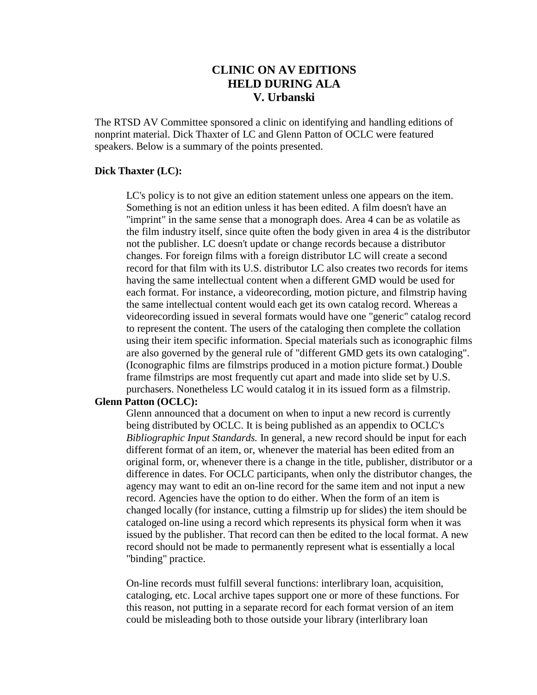# **CLINIC ON AV EDITIONS HELD DURING ALA V. Urbanski**

The RTSD AV Committee sponsored a clinic on identifying and handling editions of nonprint material. Dick Thaxter of LC and Glenn Patton of OCLC were featured speakers. Below is a summary of the points presented.

#### **Dick Thaxter (LC):**

LC's policy is to not give an edition statement unless one appears on the item. Something is not an edition unless it has been edited. A film doesn't have an "imprint" in the same sense that a monograph does. Area 4 can be as volatile as the film industry itself, since quite often the body given in area 4 is the distributor not the publisher. LC doesn't update or change records because a distributor changes. For foreign films with a foreign distributor LC will create a second record for that film with its U.S. distributor LC also creates two records for items having the same intellectual content when a different GMD would be used for each format. For instance, a videorecording, motion picture, and filmstrip having the same intellectual content would each get its own catalog record. Whereas a videorecording issued in several formats would have one "generic" catalog record to represent the content. The users of the cataloging then complete the collation using their item specific information. Special materials such as iconographic films are also governed by the general rule of "different GMD gets its own cataloging". (Iconographic films are filmstrips produced in a motion picture format.) Double frame filmstrips are most frequently cut apart and made into slide set by U.S. purchasers. Nonetheless LC would catalog it in its issued form as a filmstrip.

#### **Glenn Patton (OCLC):**

Glenn announced that a document on when to input a new record is currently being distributed by OCLC. It is being published as an appendix to OCLC's *Bibliographic Input Standards.* In general, a new record should be input for each different format of an item, or, whenever the material has been edited from an original form, or, whenever there is a change in the title, publisher, distributor or a difference in dates. For OCLC participants, when only the distributor changes, the agency may want to edit an on-line record for the same item and not input a new record. Agencies have the option to do either. When the form of an item is changed locally (for instance, cutting a filmstrip up for slides) the item should be cataloged on-line using a record which represents its physical form when it was issued by the publisher. That record can then be edited to the local format. A new record should not be made to permanently represent what is essentially a local "binding" practice.

On-line records must fulfill several functions: interlibrary loan, acquisition, cataloging, etc. Local archive tapes support one or more of these functions. For this reason, not putting in a separate record for each format version of an item could be misleading both to those outside your library (interlibrary loan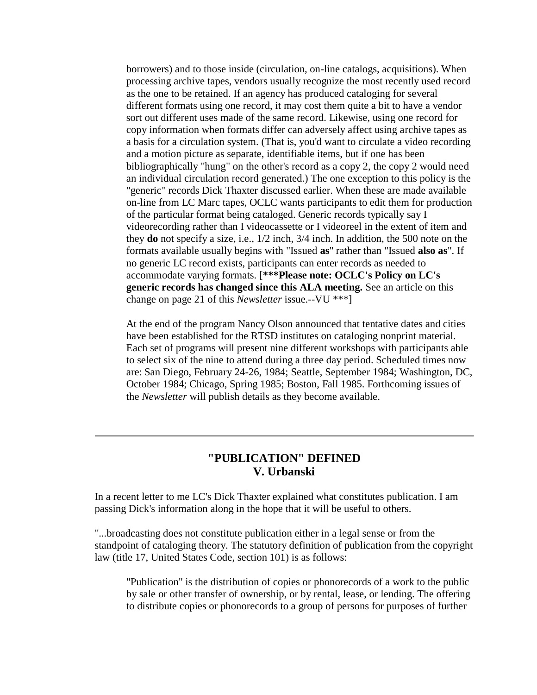borrowers) and to those inside (circulation, on-line catalogs, acquisitions). When processing archive tapes, vendors usually recognize the most recently used record as the one to be retained. If an agency has produced cataloging for several different formats using one record, it may cost them quite a bit to have a vendor sort out different uses made of the same record. Likewise, using one record for copy information when formats differ can adversely affect using archive tapes as a basis for a circulation system. (That is, you'd want to circulate a video recording and a motion picture as separate, identifiable items, but if one has been bibliographically "hung" on the other's record as a copy 2, the copy 2 would need an individual circulation record generated.) The one exception to this policy is the "generic" records Dick Thaxter discussed earlier. When these are made available on-line from LC Marc tapes, OCLC wants participants to edit them for production of the particular format being cataloged. Generic records typically say I videorecording rather than I videocassette or I videoreel in the extent of item and they **do** not specify a size, i.e., 1/2 inch, 3/4 inch. In addition, the 500 note on the formats available usually begins with "Issued **as**" rather than "Issued **also as**". If no generic LC record exists, participants can enter records as needed to accommodate varying formats. [**\*\*\*Please note: OCLC's Policy on LC's generic records has changed since this ALA meeting.** See an article on this change on page 21 of this *Newsletter* issue.--VU \*\*\*]

At the end of the program Nancy Olson announced that tentative dates and cities have been established for the RTSD institutes on cataloging nonprint material. Each set of programs will present nine different workshops with participants able to select six of the nine to attend during a three day period. Scheduled times now are: San Diego, February 24-26, 1984; Seattle, September 1984; Washington, DC, October 1984; Chicago, Spring 1985; Boston, Fall 1985. Forthcoming issues of the *Newsletter* will publish details as they become available.

### **"PUBLICATION" DEFINED V. Urbanski**

In a recent letter to me LC's Dick Thaxter explained what constitutes publication. I am passing Dick's information along in the hope that it will be useful to others.

"...broadcasting does not constitute publication either in a legal sense or from the standpoint of cataloging theory. The statutory definition of publication from the copyright law (title 17, United States Code, section 101) is as follows:

"Publication" is the distribution of copies or phonorecords of a work to the public by sale or other transfer of ownership, or by rental, lease, or lending. The offering to distribute copies or phonorecords to a group of persons for purposes of further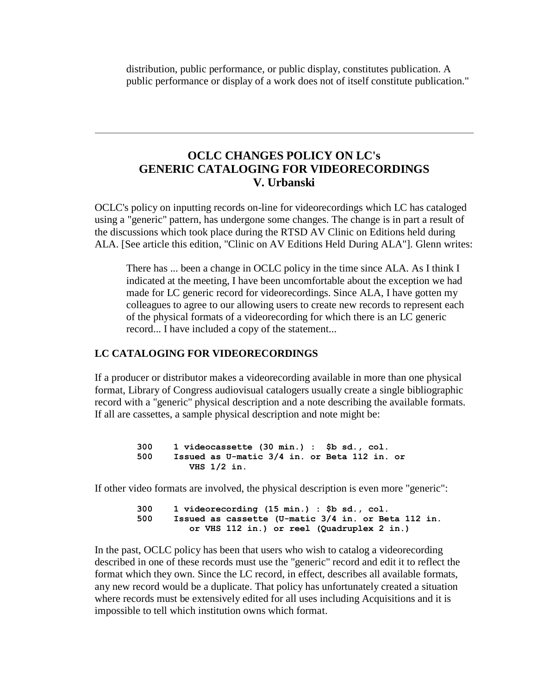distribution, public performance, or public display, constitutes publication. A public performance or display of a work does not of itself constitute publication."

# **OCLC CHANGES POLICY ON LC's GENERIC CATALOGING FOR VIDEORECORDINGS V. Urbanski**

OCLC's policy on inputting records on-line for videorecordings which LC has cataloged using a "generic" pattern, has undergone some changes. The change is in part a result of the discussions which took place during the RTSD AV Clinic on Editions held during ALA. [See article this edition, "Clinic on AV Editions Held During ALA"]. Glenn writes:

There has ... been a change in OCLC policy in the time since ALA. As I think I indicated at the meeting, I have been uncomfortable about the exception we had made for LC generic record for videorecordings. Since ALA, I have gotten my colleagues to agree to our allowing users to create new records to represent each of the physical formats of a videorecording for which there is an LC generic record... I have included a copy of the statement...

### **LC CATALOGING FOR VIDEORECORDINGS**

If a producer or distributor makes a videorecording available in more than one physical format, Library of Congress audiovisual catalogers usually create a single bibliographic record with a "generic" physical description and a note describing the available formats. If all are cassettes, a sample physical description and note might be:

> **300 1 videocassette (30 min.) : \$b sd., col. 500 Issued as U-matic 3/4 in. or Beta 112 in. or VHS 1/2 in.**

If other video formats are involved, the physical description is even more "generic":

 **300 1 videorecording (15 min.) : \$b sd., col. 500 Issued as cassette (U-matic 3/4 in. or Beta 112 in. or VHS 112 in.) or reel (Quadruplex 2 in.)**

In the past, OCLC policy has been that users who wish to catalog a videorecording described in one of these records must use the "generic" record and edit it to reflect the format which they own. Since the LC record, in effect, describes all available formats, any new record would be a duplicate. That policy has unfortunately created a situation where records must be extensively edited for all uses including Acquisitions and it is impossible to tell which institution owns which format.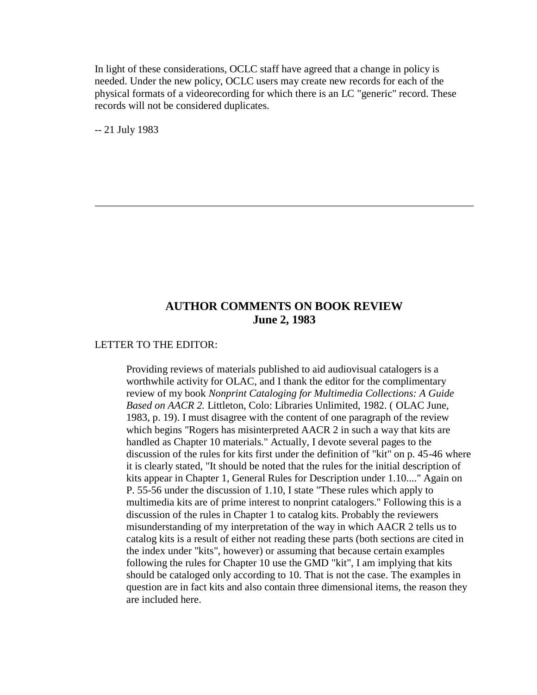In light of these considerations, OCLC staff have agreed that a change in policy is needed. Under the new policy, OCLC users may create new records for each of the physical formats of a videorecording for which there is an LC "generic" record. These records will not be considered duplicates.

-- 21 July 1983

### **AUTHOR COMMENTS ON BOOK REVIEW June 2, 1983**

#### LETTER TO THE EDITOR:

Providing reviews of materials published to aid audiovisual catalogers is a worthwhile activity for OLAC, and I thank the editor for the complimentary review of my book *Nonprint Cataloging for Multimedia Collections: A Guide Based on AACR 2.* Littleton, Colo: Libraries Unlimited, 1982. ( OLAC June, 1983, p. 19). I must disagree with the content of one paragraph of the review which begins "Rogers has misinterpreted AACR 2 in such a way that kits are handled as Chapter 10 materials." Actually, I devote several pages to the discussion of the rules for kits first under the definition of "kit" on p. 45-46 where it is clearly stated, "It should be noted that the rules for the initial description of kits appear in Chapter 1, General Rules for Description under 1.10...." Again on P. 55-56 under the discussion of 1.10, I state "These rules which apply to multimedia kits are of prime interest to nonprint catalogers." Following this is a discussion of the rules in Chapter 1 to catalog kits. Probably the reviewers misunderstanding of my interpretation of the way in which AACR 2 tells us to catalog kits is a result of either not reading these parts (both sections are cited in the index under "kits", however) or assuming that because certain examples following the rules for Chapter 10 use the GMD "kit", I am implying that kits should be cataloged only according to 10. That is not the case. The examples in question are in fact kits and also contain three dimensional items, the reason they are included here.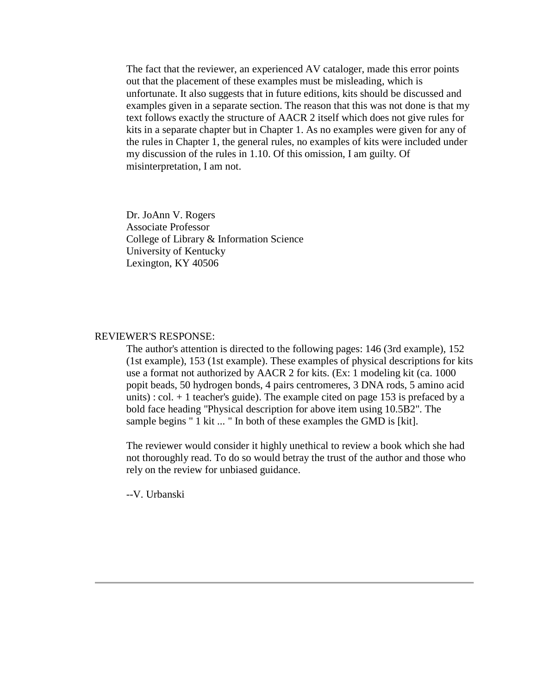The fact that the reviewer, an experienced AV cataloger, made this error points out that the placement of these examples must be misleading, which is unfortunate. It also suggests that in future editions, kits should be discussed and examples given in a separate section. The reason that this was not done is that my text follows exactly the structure of AACR 2 itself which does not give rules for kits in a separate chapter but in Chapter 1. As no examples were given for any of the rules in Chapter 1, the general rules, no examples of kits were included under my discussion of the rules in 1.10. Of this omission, I am guilty. Of misinterpretation, I am not.

Dr. JoAnn V. Rogers Associate Professor College of Library & Information Science University of Kentucky Lexington, KY 40506

#### REVIEWER'S RESPONSE:

The author's attention is directed to the following pages: 146 (3rd example), 152 (1st example), 153 (1st example). These examples of physical descriptions for kits use a format not authorized by AACR 2 for kits. (Ex: 1 modeling kit (ca. 1000 popit beads, 50 hydrogen bonds, 4 pairs centromeres, 3 DNA rods, 5 amino acid units) : col.  $+1$  teacher's guide). The example cited on page 153 is prefaced by a bold face heading "Physical description for above item using 10.5B2". The sample begins " 1 kit ... " In both of these examples the GMD is [kit].

The reviewer would consider it highly unethical to review a book which she had not thoroughly read. To do so would betray the trust of the author and those who rely on the review for unbiased guidance.

--V. Urbanski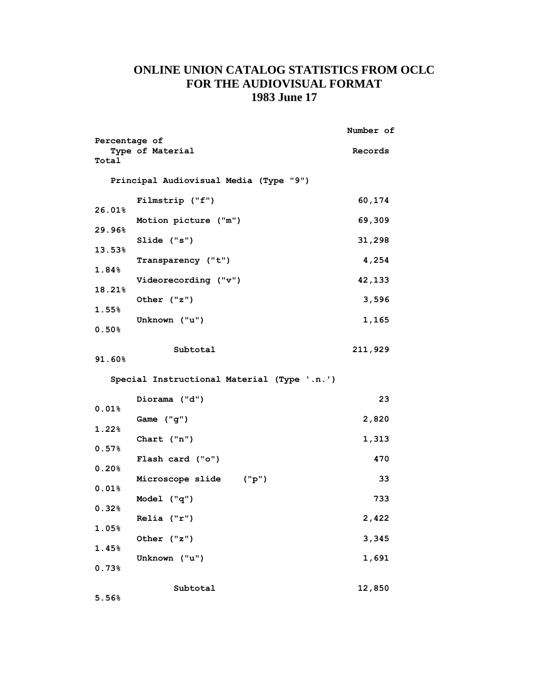# **ONLINE UNION CATALOG STATISTICS FROM OCLC FOR THE AUDIOVISUAL FORMAT 1983 June 17**

|                        |                                             | Number of |
|------------------------|---------------------------------------------|-----------|
| Percentage of<br>Total | Type of Material                            | Records   |
|                        | Principal Audiovisual Media (Type "9")      |           |
| 26.01%                 | Filmstrip ("f")                             | 60,174    |
|                        | Motion picture ("m")                        | 69,309    |
| 29.96%                 | $Slide$ ("s")                               | 31,298    |
| $13.53\%$              | Transparency ("t")                          | 4,254     |
| 1.84%                  | Videorecording ("v")                        | 42,133    |
| 18.21%                 | Other ("z")                                 | 3,596     |
| 1.55%                  | Unknown ("u")                               | 1,165     |
| 0.50%                  |                                             |           |
| 91.60%                 | Subtotal                                    | 211,929   |
|                        | Special Instructional Material (Type '.n.') |           |
| 0.01%                  | Diorama ("d")                               | 23        |
|                        | Game ("g")                                  | 2,820     |
| 1.22%                  | Chart $("n")$                               | 1,313     |
| 0.57%                  | Flash card ("o")                            | 470       |
| 0.20%                  | Microscope slide ("p")                      | 33        |
| $0.01\%$               | Model ("q")                                 | 733       |
| 0.32%                  | $Relia$ $("r")$                             | 2,422     |
| $1.05\%$               | Other ("z")                                 | 3,345     |
| 1.45%                  | Unknown ("u")                               | 1,691     |
| 0.73%                  |                                             |           |
| 5.56%                  | Subtotal                                    | 12,850    |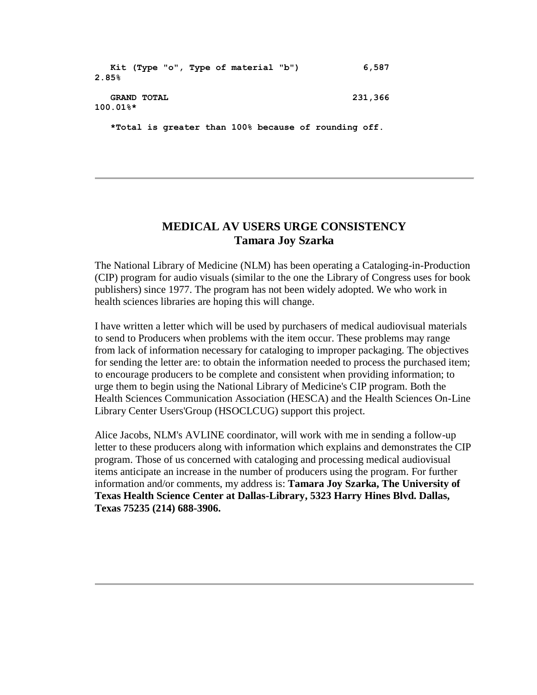```
 Kit (Type "o", Type of material "b") 6,587 
2.85%
   GRAND TOTAL 231,366 
100.01%*
   *Total is greater than 100% because of rounding off.
```
### **MEDICAL AV USERS URGE CONSISTENCY Tamara Joy Szarka**

The National Library of Medicine (NLM) has been operating a Cataloging-in-Production (CIP) program for audio visuals (similar to the one the Library of Congress uses for book publishers) since 1977. The program has not been widely adopted. We who work in health sciences libraries are hoping this will change.

I have written a letter which will be used by purchasers of medical audiovisual materials to send to Producers when problems with the item occur. These problems may range from lack of information necessary for cataloging to improper packaging. The objectives for sending the letter are: to obtain the information needed to process the purchased item; to encourage producers to be complete and consistent when providing information; to urge them to begin using the National Library of Medicine's CIP program. Both the Health Sciences Communication Association (HESCA) and the Health Sciences On-Line Library Center Users'Group (HSOCLCUG) support this project.

Alice Jacobs, NLM's AVLINE coordinator, will work with me in sending a follow-up letter to these producers along with information which explains and demonstrates the CIP program. Those of us concerned with cataloging and processing medical audiovisual items anticipate an increase in the number of producers using the program. For further information and/or comments, my address is: **Tamara Joy Szarka, The University of Texas Health Science Center at Dallas-Library, 5323 Harry Hines Blvd. Dallas, Texas 75235 (214) 688-3906.**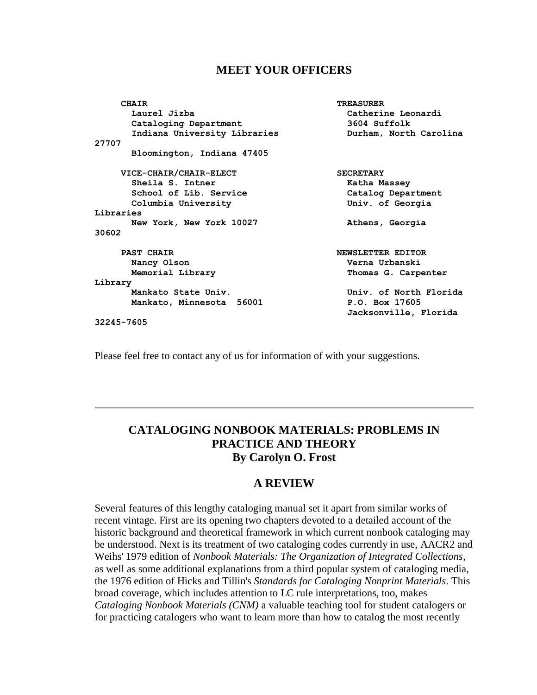#### **MEET YOUR OFFICERS**

| <b>CHAIR</b>                 | <b>TREASURER</b>       |
|------------------------------|------------------------|
| Laurel Jizba                 | Catherine Leonardi     |
| Cataloging Department        | 3604 Suffolk           |
| Indiana University Libraries | Durham, North Carolina |
| 27707                        |                        |
| Bloomington, Indiana 47405   |                        |
| VICE-CHAIR/CHAIR-ELECT       | <b>SECRETARY</b>       |
| Sheila S. Intner             | Katha Massey           |
| School of Lib. Service       | Catalog Department     |
| Columbia University          | Univ. of Georgia       |
| Libraries                    |                        |
| New York, New York 10027     | Athens, Georgia        |
| 30602                        |                        |
| <b>PAST CHAIR</b>            | NEWSLETTER EDITOR      |
| Nancy Olson                  | Verna Urbanski         |
| Memorial Library             | Thomas G. Carpenter    |
| Library                      |                        |
| Mankato State Univ.          | Univ. of North Florida |
| Mankato, Minnesota 56001     | P.O. Box 17605         |
|                              | Jacksonville, Florida  |
| 32245-7605                   |                        |

Please feel free to contact any of us for information of with your suggestions.

# **CATALOGING NONBOOK MATERIALS: PROBLEMS IN PRACTICE AND THEORY By Carolyn O. Frost**

### **A REVIEW**

Several features of this lengthy cataloging manual set it apart from similar works of recent vintage. First are its opening two chapters devoted to a detailed account of the historic background and theoretical framework in which current nonbook cataloging may be understood. Next is its treatment of two cataloging codes currently in use, AACR2 and Weihs' 1979 edition of *Nonbook Materials: The Organization of Integrated Collections*, as well as some additional explanations from a third popular system of cataloging media, the 1976 edition of Hicks and Tillin's *Standards for Cataloging Nonprint Materials*. This broad coverage, which includes attention to LC rule interpretations, too, makes *Cataloging Nonbook Materials (CNM)* a valuable teaching tool for student catalogers or for practicing catalogers who want to learn more than how to catalog the most recently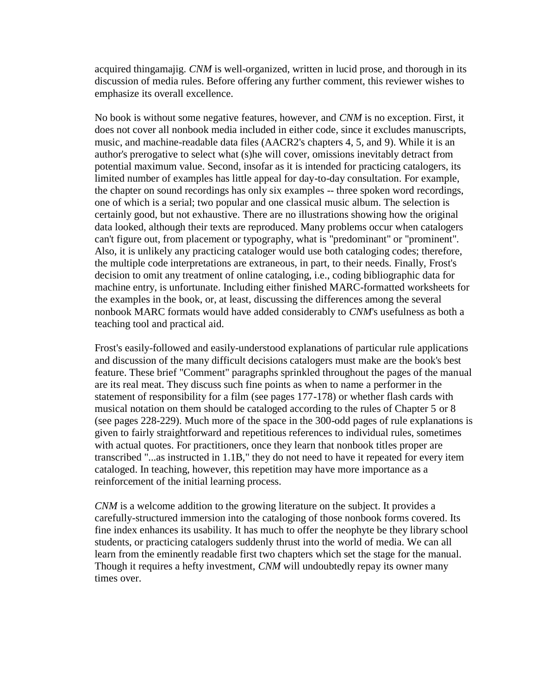acquired thingamajig. *CNM* is well-organized, written in lucid prose, and thorough in its discussion of media rules. Before offering any further comment, this reviewer wishes to emphasize its overall excellence.

No book is without some negative features, however, and *CNM* is no exception. First, it does not cover all nonbook media included in either code, since it excludes manuscripts, music, and machine-readable data files (AACR2's chapters 4, 5, and 9). While it is an author's prerogative to select what (s)he will cover, omissions inevitably detract from potential maximum value. Second, insofar as it is intended for practicing catalogers, its limited number of examples has little appeal for day-to-day consultation. For example, the chapter on sound recordings has only six examples -- three spoken word recordings, one of which is a serial; two popular and one classical music album. The selection is certainly good, but not exhaustive. There are no illustrations showing how the original data looked, although their texts are reproduced. Many problems occur when catalogers can't figure out, from placement or typography, what is "predominant" or "prominent". Also, it is unlikely any practicing cataloger would use both cataloging codes; therefore, the multiple code interpretations are extraneous, in part, to their needs. Finally, Frost's decision to omit any treatment of online cataloging, i.e., coding bibliographic data for machine entry, is unfortunate. Including either finished MARC-formatted worksheets for the examples in the book, or, at least, discussing the differences among the several nonbook MARC formats would have added considerably to *CNM*'s usefulness as both a teaching tool and practical aid.

Frost's easily-followed and easily-understood explanations of particular rule applications and discussion of the many difficult decisions catalogers must make are the book's best feature. These brief "Comment" paragraphs sprinkled throughout the pages of the manual are its real meat. They discuss such fine points as when to name a performer in the statement of responsibility for a film (see pages 177-178) or whether flash cards with musical notation on them should be cataloged according to the rules of Chapter 5 or 8 (see pages 228-229). Much more of the space in the 300-odd pages of rule explanations is given to fairly straightforward and repetitious references to individual rules, sometimes with actual quotes. For practitioners, once they learn that nonbook titles proper are transcribed "...as instructed in 1.1B," they do not need to have it repeated for every item cataloged. In teaching, however, this repetition may have more importance as a reinforcement of the initial learning process.

*CNM* is a welcome addition to the growing literature on the subject. It provides a carefully-structured immersion into the cataloging of those nonbook forms covered. Its fine index enhances its usability. It has much to offer the neophyte be they library school students, or practicing catalogers suddenly thrust into the world of media. We can all learn from the eminently readable first two chapters which set the stage for the manual. Though it requires a hefty investment, *CNM* will undoubtedly repay its owner many times over.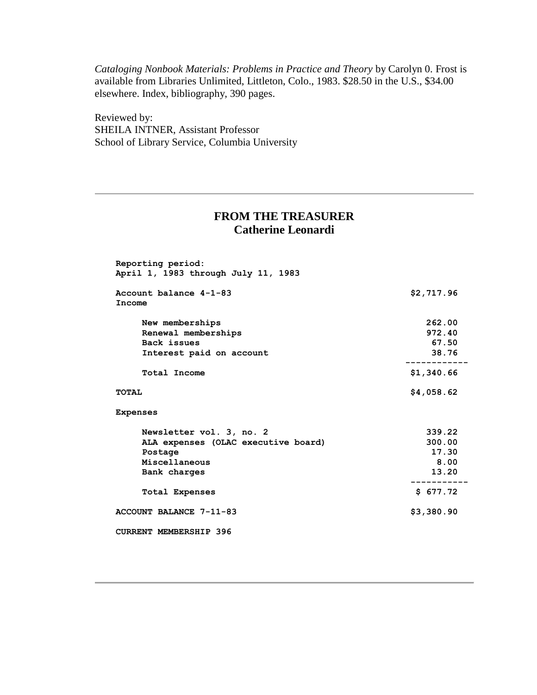*Cataloging Nonbook Materials: Problems in Practice and Theory* by Carolyn 0. Frost is available from Libraries Unlimited, Littleton, Colo., 1983. \$28.50 in the U.S., \$34.00 elsewhere. Index, bibliography, 390 pages.

Reviewed by: SHEILA INTNER, Assistant Professor School of Library Service, Columbia University

# **FROM THE TREASURER Catherine Leonardi**

| Account balance 4-1-83              | \$2,717.96 |
|-------------------------------------|------------|
| Income                              |            |
| New memberships                     | 262.00     |
| Renewal memberships                 | 972.40     |
| Back issues                         | 67.50      |
| Interest paid on account            | 38.76      |
| Total Income                        | \$1,340.66 |
| TOTAL                               | \$4,058.62 |
| <b>Expenses</b>                     |            |
| Newsletter vol. 3, no. 2            | 339.22     |
| ALA expenses (OLAC executive board) | 300.00     |
| Postage                             | 17.30      |
| Miscellaneous                       | 8.00       |
| Bank charges                        | 13.20      |
| <b>Total Expenses</b>               | \$677.72   |
| ACCOUNT BALANCE 7-11-83             | \$3,380.90 |